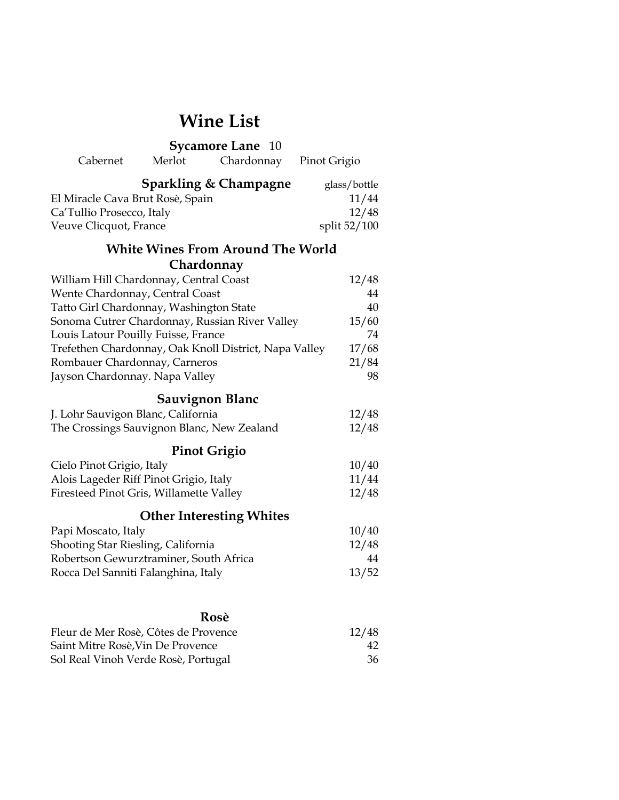# **Wine List**

| <b>Sycamore Lane</b><br>10                            |                      |              |  |  |
|-------------------------------------------------------|----------------------|--------------|--|--|
| Cabernet                                              | Merlot<br>Chardonnay | Pinot Grigio |  |  |
| <b>Sparkling &amp; Champagne</b><br>glass/bottle      |                      |              |  |  |
| El Miracle Cava Brut Rosè, Spain                      |                      | 11/44        |  |  |
| Ca'Tullio Prosecco, Italy                             |                      | 12/48        |  |  |
| Veuve Clicquot, France                                |                      | split 52/100 |  |  |
| <b>White Wines From Around The World</b>              |                      |              |  |  |
|                                                       | Chardonnay           |              |  |  |
| William Hill Chardonnay, Central Coast                |                      | 12/48        |  |  |
| Wente Chardonnay, Central Coast                       |                      | 44           |  |  |
| Tatto Girl Chardonnay, Washington State               |                      | 40           |  |  |
| Sonoma Cutrer Chardonnay, Russian River Valley        |                      | 15/60        |  |  |
| Louis Latour Pouilly Fuisse, France                   |                      | 74           |  |  |
| Trefethen Chardonnay, Oak Knoll District, Napa Valley |                      | 17/68        |  |  |
| Rombauer Chardonnay, Carneros                         |                      | 21/84        |  |  |
| Jayson Chardonnay. Napa Valley                        |                      | 98           |  |  |
| <b>Sauvignon Blanc</b>                                |                      |              |  |  |
| J. Lohr Sauvigon Blanc, California                    |                      | 12/48        |  |  |
| The Crossings Sauvignon Blanc, New Zealand            |                      | 12/48        |  |  |
| <b>Pinot Grigio</b>                                   |                      |              |  |  |
| Cielo Pinot Grigio, Italy                             |                      | 10/40        |  |  |
| Alois Lageder Riff Pinot Grigio, Italy                |                      | 11/44        |  |  |
| Firesteed Pinot Gris, Willamette Valley               |                      | 12/48        |  |  |
| <b>Other Interesting Whites</b>                       |                      |              |  |  |
| Papi Moscato, Italy                                   |                      | 10/40        |  |  |
| Shooting Star Riesling, California                    |                      | 12/48        |  |  |
| Robertson Gewurztraminer, South Africa                |                      | 44           |  |  |
| Rocca Del Sanniti Falanghina, Italy                   |                      | 13/52        |  |  |
|                                                       |                      |              |  |  |
| Rosè                                                  |                      |              |  |  |
| Fleur de Mer Rosè, Côtes de Provence                  |                      | 12/48        |  |  |
| Saint Mitre Rosè, Vin De Provence                     |                      | 42           |  |  |
| Sol Real Vinoh Verde Rosè, Portugal                   |                      | 36           |  |  |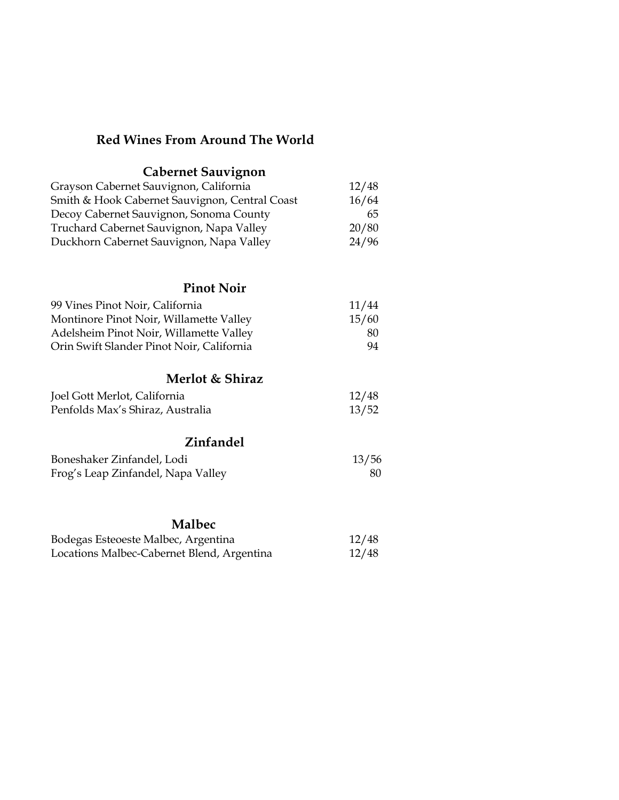#### **Red Wines From Around The World**

## **Cabernet Sauvignon**  Grayson Cabernet Sauvignon, California 12/48 Smith & Hook Cabernet Sauvignon, Central Coast 16/64 Decoy Cabernet Sauvignon, Sonoma County 65 Truchard Cabernet Sauvignon, Napa Valley 20/80 Duckhorn Cabernet Sauvignon, Napa Valley 24/96 **Pinot Noir** 99 Vines Pinot Noir, California 11/44 Montinore Pinot Noir, Willamette Valley 15/60 Adelsheim Pinot Noir, Willamette Valley 80 Orin Swift Slander Pinot Noir, California 94 **Merlot & Shiraz** Joel Gott Merlot, California 12/48 Penfolds Max's Shiraz, Australia 13/52

#### **Zinfandel**

| Boneshaker Zinfandel, Lodi         | 13/56 |
|------------------------------------|-------|
| Frog's Leap Zinfandel, Napa Valley | 80    |

### **Malbec**

| Bodegas Esteoeste Malbec, Argentina        | 12/48 |
|--------------------------------------------|-------|
| Locations Malbec-Cabernet Blend, Argentina | 12/48 |